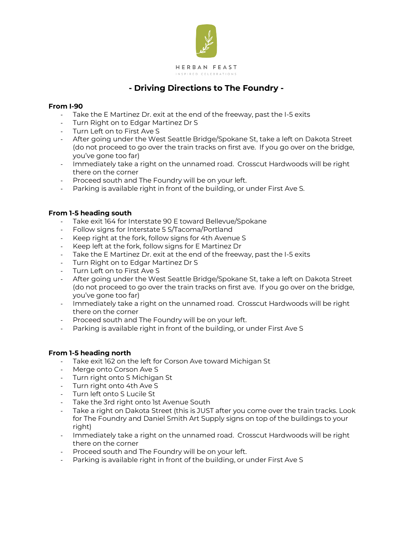

## **- Driving Directions to The Foundry -**

## **From I-90**

- Take the E Martinez Dr. exit at the end of the freeway, past the I-5 exits
- Turn Right on to Edgar Martinez Dr S
- Turn Left on to First Ave S
- After going under the West Seattle Bridge/Spokane St, take a left on Dakota Street (do not proceed to go over the train tracks on first ave. If you go over on the bridge, you've gone too far)
- Immediately take a right on the unnamed road. Crosscut Hardwoods will be right there on the corner
- Proceed south and The Foundry will be on your left.
- Parking is available right in front of the building, or under First Ave S.

## **From 1-5 heading south**

- Take exit 164 for Interstate 90 E toward Bellevue/Spokane
- Follow signs for Interstate 5 S/Tacoma/Portland
- Keep right at the fork, follow signs for 4th Avenue S
- Keep left at the fork, follow signs for E Martinez Dr
- Take the E Martinez Dr. exit at the end of the freeway, past the I-5 exits
- Turn Right on to Edgar Martinez Dr S
- Turn Left on to First Ave S
- After going under the West Seattle Bridge/Spokane St, take a left on Dakota Street (do not proceed to go over the train tracks on first ave. If you go over on the bridge, you've gone too far)
- Immediately take a right on the unnamed road. Crosscut Hardwoods will be right there on the corner
- Proceed south and The Foundry will be on your left.
- Parking is available right in front of the building, or under First Ave S

## **From 1-5 heading north**

- Take exit 162 on the left for Corson Ave toward Michigan St
- Merge onto Corson Ave S
- Turn right onto S Michigan St
- Turn right onto 4th Ave S
- Turn left onto S Lucile St
- Take the 3rd right onto 1st Avenue South
- Take a right on Dakota Street (this is JUST after you come over the train tracks. Look for The Foundry and Daniel Smith Art Supply signs on top of the buildings to your right)
- Immediately take a right on the unnamed road. Crosscut Hardwoods will be right there on the corner
- Proceed south and The Foundry will be on your left.
- Parking is available right in front of the building, or under First Ave S